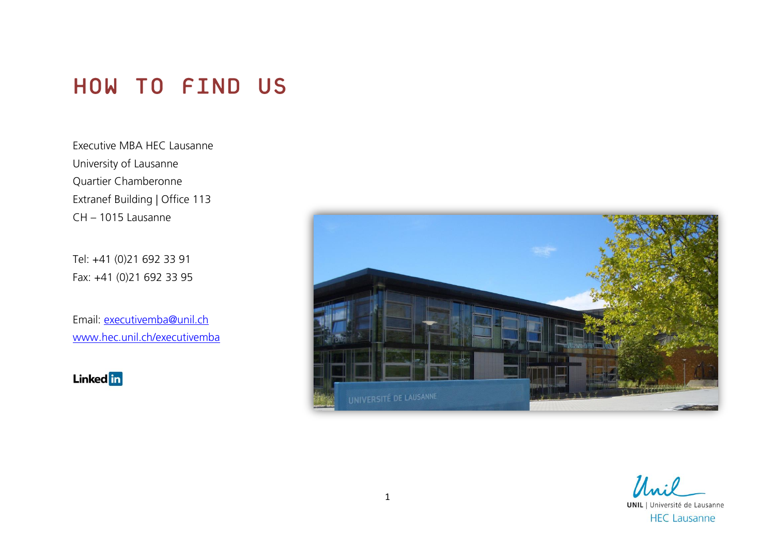# HOW TO FIND US

Executive MBA HEC Lausanne University of Lausanne Quartier Chamberonne Extranef Building | Office 113 CH – 1015 Lausanne

Tel: +41 (0)21 692 33 91 Fax: +41 (0)21 692 33 95

Email: [executivemba@unil.ch](mailto:executivemba@unil.ch) [www.hec.unil.ch/executivemba](http://www.hec.unil.ch/executivemba)

**Linked** in



Unil **UNIL** | Université de Lausanne **HEC Lausanne**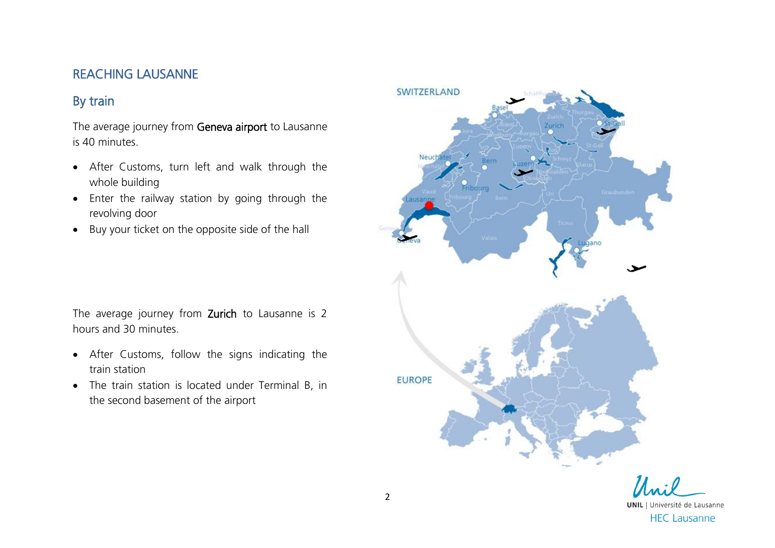#### REACHING LAUSANNE

## By train

The average journey from Geneva airport to Lausanne is 40 minutes.

- After Customs, turn left and walk through the whole building
- Enter the railway station by going through the revolving door
- Buy your ticket on the opposite side of the hall

The average journey from Zurich to Lausanne is 2 hours and 30 minutes.

- After Customs, follow the signs indicating the train station
- The train station is located under Terminal B, in the second basement of the airport